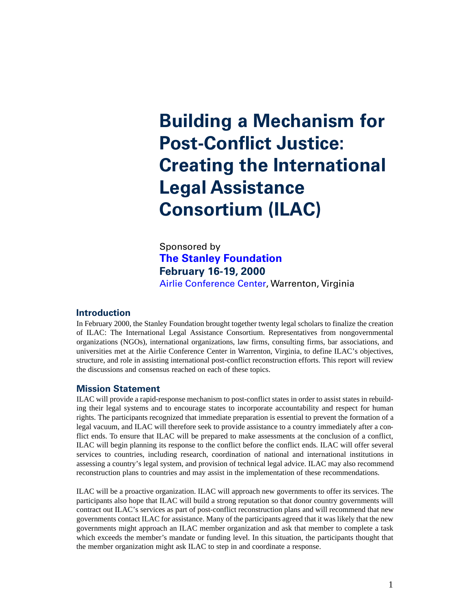# **Building a Mechanism for Post-Conflict Justice: Creating the International Legal Assistance Consortium (ILAC)**

Sponsored by **[The Stanley Foundation](http://stanleyfdn.org) February 16-19, 2000** [Airlie Conference Center,](http://airlie.com) Warrenton, Virginia

#### **Introduction**

In February 2000, the Stanley Foundation brought together twenty legal scholars to finalize the creation of ILAC: The International Legal Assistance Consortium. Representatives from nongovernmental organizations (NGOs), international organizations, law firms, consulting firms, bar associations, and universities met at the Airlie Conference Center in Warrenton, Virginia, to define ILAC's objectives, structure, and role in assisting international post-conflict reconstruction efforts. This report will review the discussions and consensus reached on each of these topics.

#### **Mission Statement**

ILAC will provide a rapid-response mechanism to post-conflict states in order to assist states in rebuilding their legal systems and to encourage states to incorporate accountability and respect for human rights. The participants recognized that immediate preparation is essential to prevent the formation of a legal vacuum, and ILAC will therefore seek to provide assistance to a country immediately after a conflict ends. To ensure that ILAC will be prepared to make assessments at the conclusion of a conflict, ILAC will begin planning its response to the conflict before the conflict ends. ILAC will offer several services to countries, including research, coordination of national and international institutions in assessing a country's legal system, and provision of technical legal advice. ILAC may also recommend reconstruction plans to countries and may assist in the implementation of these recommendations.

ILAC will be a proactive organization. ILAC will approach new governments to offer its services. The participants also hope that ILAC will build a strong reputation so that donor country governments will contract out ILAC's services as part of post-conflict reconstruction plans and will recommend that new governments contact ILAC for assistance. Many of the participants agreed that it was likely that the new governments might approach an ILAC member organization and ask that member to complete a task which exceeds the member's mandate or funding level. In this situation, the participants thought that the member organization might ask ILAC to step in and coordinate a response.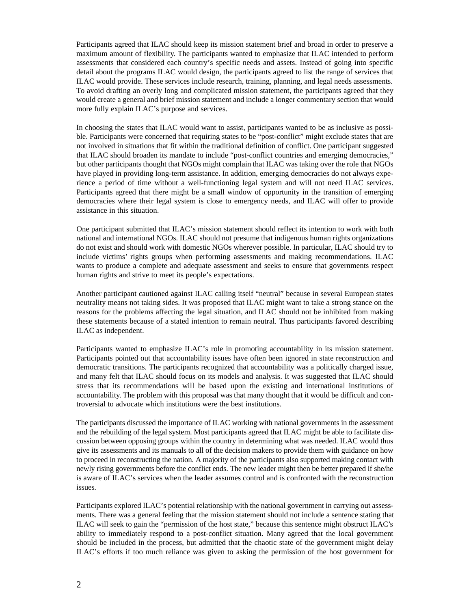Participants agreed that ILAC should keep its mission statement brief and broad in order to preserve a maximum amount of flexibility. The participants wanted to emphasize that ILAC intended to perform assessments that considered each country's specific needs and assets. Instead of going into specific detail about the programs ILAC would design, the participants agreed to list the range of services that ILAC would provide. These services include research, training, planning, and legal needs assessments. To avoid drafting an overly long and complicated mission statement, the participants agreed that they would create a general and brief mission statement and include a longer commentary section that would more fully explain ILAC's purpose and services.

In choosing the states that ILAC would want to assist, participants wanted to be as inclusive as possible. Participants were concerned that requiring states to be "post-conflict" might exclude states that are not involved in situations that fit within the traditional definition of conflict. One participant suggested that ILAC should broaden its mandate to include "post-conflict countries and emerging democracies," but other participants thought that NGOs might complain that ILAC was taking over the role that NGOs have played in providing long-term assistance. In addition, emerging democracies do not always experience a period of time without a well-functioning legal system and will not need ILAC services. Participants agreed that there might be a small window of opportunity in the transition of emerging democracies where their legal system is close to emergency needs, and ILAC will offer to provide assistance in this situation.

One participant submitted that ILAC's mission statement should reflect its intention to work with both national and international NGOs. ILAC should not presume that indigenous human rights organizations do not exist and should work with domestic NGOs wherever possible. In particular, ILAC should try to include victims' rights groups when performing assessments and making recommendations. ILAC wants to produce a complete and adequate assessment and seeks to ensure that governments respect human rights and strive to meet its people's expectations.

Another participant cautioned against ILAC calling itself "neutral" because in several European states neutrality means not taking sides. It was proposed that ILAC might want to take a strong stance on the reasons for the problems affecting the legal situation, and ILAC should not be inhibited from making these statements because of a stated intention to remain neutral. Thus participants favored describing ILAC as independent.

Participants wanted to emphasize ILAC's role in promoting accountability in its mission statement. Participants pointed out that accountability issues have often been ignored in state reconstruction and democratic transitions. The participants recognized that accountability was a politically charged issue, and many felt that ILAC should focus on its models and analysis. It was suggested that ILAC should stress that its recommendations will be based upon the existing and international institutions of accountability. The problem with this proposal was that many thought that it would be difficult and controversial to advocate which institutions were the best institutions.

The participants discussed the importance of ILAC working with national governments in the assessment and the rebuilding of the legal system. Most participants agreed that ILAC might be able to facilitate discussion between opposing groups within the country in determining what was needed. ILAC would thus give its assessments and its manuals to all of the decision makers to provide them with guidance on how to proceed in reconstructing the nation. A majority of the participants also supported making contact with newly rising governments before the conflict ends. The new leader might then be better prepared if she/he is aware of ILAC's services when the leader assumes control and is confronted with the reconstruction issues.

Participants explored ILAC's potential relationship with the national government in carrying out assessments. There was a general feeling that the mission statement should not include a sentence stating that ILAC will seek to gain the "permission of the host state," because this sentence might obstruct ILAC's ability to immediately respond to a post-conflict situation. Many agreed that the local government should be included in the process, but admitted that the chaotic state of the government might delay ILAC's efforts if too much reliance was given to asking the permission of the host government for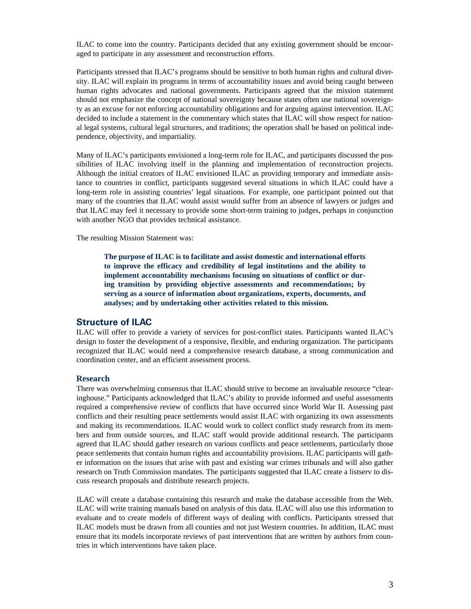ILAC to come into the country. Participants decided that any existing government should be encouraged to participate in any assessment and reconstruction efforts.

Participants stressed that ILAC's programs should be sensitive to both human rights and cultural diversity. ILAC will explain its programs in terms of accountability issues and avoid being caught between human rights advocates and national governments. Participants agreed that the mission statement should not emphasize the concept of national sovereignty because states often use national sovereignty as an excuse for not enforcing accountability obligations and for arguing against intervention. ILAC decided to include a statement in the commentary which states that ILAC will show respect for national legal systems, cultural legal structures, and traditions; the operation shall be based on political independence, objectivity, and impartiality.

Many of ILAC's participants envisioned a long-term role for ILAC, and participants discussed the possibilities of ILAC involving itself in the planning and implementation of reconstruction projects. Although the initial creators of ILAC envisioned ILAC as providing temporary and immediate assistance to countries in conflict, participants suggested several situations in which ILAC could have a long-term role in assisting countries' legal situations. For example, one participant pointed out that many of the countries that ILAC would assist would suffer from an absence of lawyers or judges and that ILAC may feel it necessary to provide some short-term training to judges, perhaps in conjunction with another NGO that provides technical assistance.

The resulting Mission Statement was:

**The purpose of ILAC is to facilitate and assist domestic and international efforts to improve the efficacy and credibility of legal institutions and the ability to implement accountability mechanisms focusing on situations of conflict or during transition by providing objective assessments and recommendations; by serving as a source of information about organizations, experts, documents, and analyses; and by undertaking other activities related to this mission.**

#### **Structure of ILAC**

ILAC will offer to provide a variety of services for post-conflict states. Participants wanted ILAC's design to foster the development of a responsive, flexible, and enduring organization. The participants recognized that ILAC would need a comprehensive research database, a strong communication and coordination center, and an efficient assessment process.

#### **Research**

There was overwhelming consensus that ILAC should strive to become an invaluable resource "clearinghouse." Participants acknowledged that ILAC's ability to provide informed and useful assessments required a comprehensive review of conflicts that have occurred since World War II. Assessing past conflicts and their resulting peace settlements would assist ILAC with organizing its own assessments and making its recommendations. ILAC would work to collect conflict study research from its members and from outside sources, and ILAC staff would provide additional research. The participants agreed that ILAC should gather research on various conflicts and peace settlements, particularly those peace settlements that contain human rights and accountability provisions. ILAC participants will gather information on the issues that arise with past and existing war crimes tribunals and will also gather research on Truth Commission mandates. The participants suggested that ILAC create a listserv to discuss research proposals and distribute research projects.

ILAC will create a database containing this research and make the database accessible from the Web. ILAC will write training manuals based on analysis of this data. ILAC will also use this information to evaluate and to create models of different ways of dealing with conflicts. Participants stressed that ILAC models must be drawn from all counties and not just Western countries. In addition, ILAC must ensure that its models incorporate reviews of past interventions that are written by authors from countries in which interventions have taken place.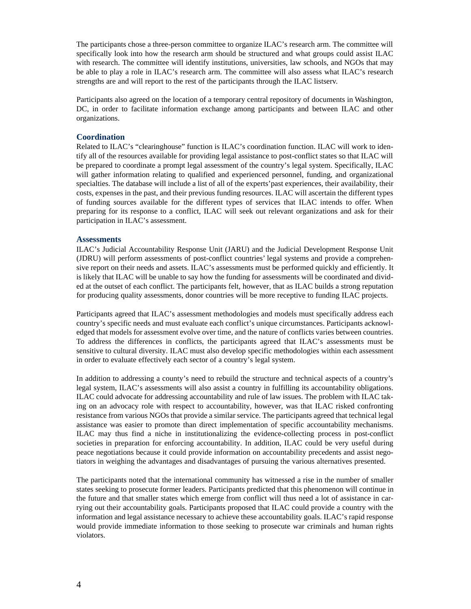The participants chose a three-person committee to organize ILAC's research arm. The committee will specifically look into how the research arm should be structured and what groups could assist ILAC with research. The committee will identify institutions, universities, law schools, and NGOs that may be able to play a role in ILAC's research arm. The committee will also assess what ILAC's research strengths are and will report to the rest of the participants through the ILAC listserv.

Participants also agreed on the location of a temporary central repository of documents in Washington, DC, in order to facilitate information exchange among participants and between ILAC and other organizations.

#### **Coordination**

Related to ILAC's "clearinghouse" function is ILAC's coordination function. ILAC will work to identify all of the resources available for providing legal assistance to post-conflict states so that ILAC will be prepared to coordinate a prompt legal assessment of the country's legal system. Specifically, ILAC will gather information relating to qualified and experienced personnel, funding, and organizational specialties. The database will include a list of all of the experts'past experiences, their availability, their costs, expenses in the past, and their previous funding resources. ILAC will ascertain the different types of funding sources available for the different types of services that ILAC intends to offer. When preparing for its response to a conflict, ILAC will seek out relevant organizations and ask for their participation in ILAC's assessment.

#### **Assessments**

ILAC's Judicial Accountability Response Unit (JARU) and the Judicial Development Response Unit (JDRU) will perform assessments of post-conflict countries' legal systems and provide a comprehensive report on their needs and assets. ILAC's assessments must be performed quickly and efficiently. It is likely that ILAC will be unable to say how the funding for assessments will be coordinated and divided at the outset of each conflict. The participants felt, however, that as ILAC builds a strong reputation for producing quality assessments, donor countries will be more receptive to funding ILAC projects.

Participants agreed that ILAC's assessment methodologies and models must specifically address each country's specific needs and must evaluate each conflict's unique circumstances. Participants acknowledged that models for assessment evolve over time, and the nature of conflicts varies between countries. To address the differences in conflicts, the participants agreed that ILAC's assessments must be sensitive to cultural diversity. ILAC must also develop specific methodologies within each assessment in order to evaluate effectively each sector of a country's legal system.

In addition to addressing a county's need to rebuild the structure and technical aspects of a country's legal system, ILAC's assessments will also assist a country in fulfilling its accountability obligations. ILAC could advocate for addressing accountability and rule of law issues. The problem with ILAC taking on an advocacy role with respect to accountability, however, was that ILAC risked confronting resistance from various NGOs that provide a similar service. The participants agreed that technical legal assistance was easier to promote than direct implementation of specific accountability mechanisms. ILAC may thus find a niche in institutionalizing the evidence-collecting process in post-conflict societies in preparation for enforcing accountability. In addition, ILAC could be very useful during peace negotiations because it could provide information on accountability precedents and assist negotiators in weighing the advantages and disadvantages of pursuing the various alternatives presented.

The participants noted that the international community has witnessed a rise in the number of smaller states seeking to prosecute former leaders. Participants predicted that this phenomenon will continue in the future and that smaller states which emerge from conflict will thus need a lot of assistance in carrying out their accountability goals. Participants proposed that ILAC could provide a country with the information and legal assistance necessary to achieve these accountability goals. ILAC's rapid response would provide immediate information to those seeking to prosecute war criminals and human rights violators.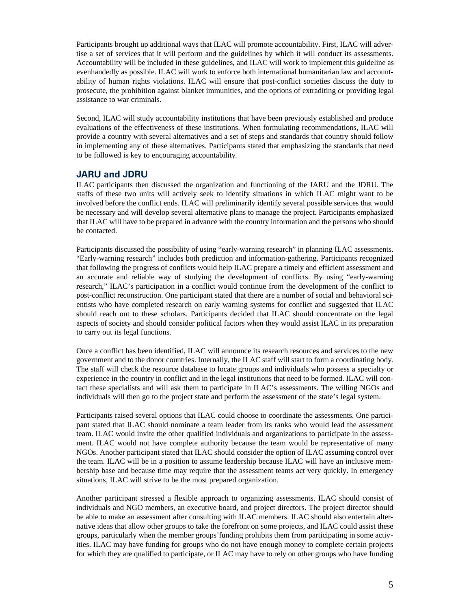Participants brought up additional ways that ILAC will promote accountability. First, ILAC will advertise a set of services that it will perform and the guidelines by which it will conduct its assessments. Accountability will be included in these guidelines, and ILAC will work to implement this guideline as evenhandedly as possible. ILAC will work to enforce both international humanitarian law and accountability of human rights violations. ILAC will ensure that post-conflict societies discuss the duty to prosecute, the prohibition against blanket immunities, and the options of extraditing or providing legal assistance to war criminals.

Second, ILAC will study accountability institutions that have been previously established and produce evaluations of the effectiveness of these institutions. When formulating recommendations, ILAC will provide a country with several alternatives and a set of steps and standards that country should follow in implementing any of these alternatives. Participants stated that emphasizing the standards that need to be followed is key to encouraging accountability.

#### **JARU and JDRU**

ILAC participants then discussed the organization and functioning of the JARU and the JDRU. The staffs of these two units will actively seek to identify situations in which ILAC might want to be involved before the conflict ends. ILAC will preliminarily identify several possible services that would be necessary and will develop several alternative plans to manage the project. Participants emphasized that ILAC will have to be prepared in advance with the country information and the persons who should be contacted.

Participants discussed the possibility of using "early-warning research" in planning ILAC assessments. "Early-warning research" includes both prediction and information-gathering. Participants recognized that following the progress of conflicts would help ILAC prepare a timely and efficient assessment and an accurate and reliable way of studying the development of conflicts. By using "early-warning research," ILAC's participation in a conflict would continue from the development of the conflict to post-conflict reconstruction. One participant stated that there are a number of social and behavioral scientists who have completed research on early warning systems for conflict and suggested that ILAC should reach out to these scholars. Participants decided that ILAC should concentrate on the legal aspects of society and should consider political factors when they would assist ILAC in its preparation to carry out its legal functions.

Once a conflict has been identified, ILAC will announce its research resources and services to the new government and to the donor countries. Internally, the ILAC staff will start to form a coordinating body. The staff will check the resource database to locate groups and individuals who possess a specialty or experience in the country in conflict and in the legal institutions that need to be formed. ILAC will contact these specialists and will ask them to participate in ILAC's assessments. The willing NGOs and individuals will then go to the project state and perform the assessment of the state's legal system.

Participants raised several options that ILAC could choose to coordinate the assessments. One participant stated that ILAC should nominate a team leader from its ranks who would lead the assessment team. ILAC would invite the other qualified individuals and organizations to participate in the assessment. ILAC would not have complete authority because the team would be representative of many NGOs. Another participant stated that ILAC should consider the option of ILAC assuming control over the team. ILAC will be in a position to assume leadership because ILAC will have an inclusive membership base and because time may require that the assessment teams act very quickly. In emergency situations, ILAC will strive to be the most prepared organization.

Another participant stressed a flexible approach to organizing assessments. ILAC should consist of individuals and NGO members, an executive board, and project directors. The project director should be able to make an assessment after consulting with ILAC members. ILAC should also entertain alternative ideas that allow other groups to take the forefront on some projects, and ILAC could assist these groups, particularly when the member groups'funding prohibits them from participating in some activities. ILAC may have funding for groups who do not have enough money to complete certain projects for which they are qualified to participate, or ILAC may have to rely on other groups who have funding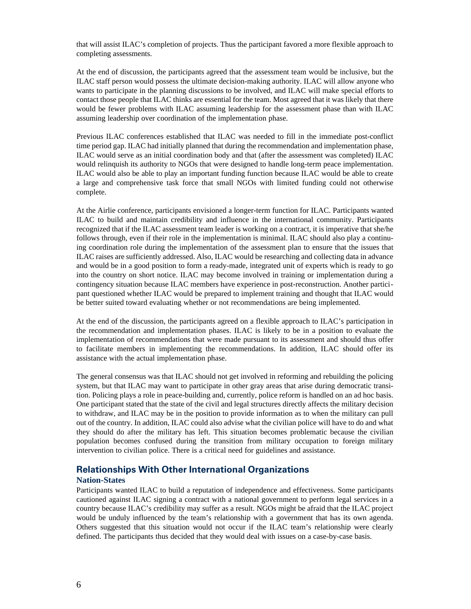that will assist ILAC's completion of projects. Thus the participant favored a more flexible approach to completing assessments.

At the end of discussion, the participants agreed that the assessment team would be inclusive, but the ILAC staff person would possess the ultimate decision-making authority. ILAC will allow anyone who wants to participate in the planning discussions to be involved, and ILAC will make special efforts to contact those people that ILAC thinks are essential for the team. Most agreed that it was likely that there would be fewer problems with ILAC assuming leadership for the assessment phase than with ILAC assuming leadership over coordination of the implementation phase.

Previous ILAC conferences established that ILAC was needed to fill in the immediate post-conflict time period gap. ILAC had initially planned that during the recommendation and implementation phase, ILAC would serve as an initial coordination body and that (after the assessment was completed) ILAC would relinquish its authority to NGOs that were designed to handle long-term peace implementation. ILAC would also be able to play an important funding function because ILAC would be able to create a large and comprehensive task force that small NGOs with limited funding could not otherwise complete.

At the Airlie conference, participants envisioned a longer-term function for ILAC. Participants wanted ILAC to build and maintain credibility and influence in the international community. Participants recognized that if the ILAC assessment team leader is working on a contract, it is imperative that she/he follows through, even if their role in the implementation is minimal. ILAC should also play a continuing coordination role during the implementation of the assessment plan to ensure that the issues that ILAC raises are sufficiently addressed. Also, ILAC would be researching and collecting data in advance and would be in a good position to form a ready-made, integrated unit of experts which is ready to go into the country on short notice. ILAC may become involved in training or implementation during a contingency situation because ILAC members have experience in post-reconstruction. Another participant questioned whether ILAC would be prepared to implement training and thought that ILAC would be better suited toward evaluating whether or not recommendations are being implemented.

At the end of the discussion, the participants agreed on a flexible approach to ILAC's participation in the recommendation and implementation phases. ILAC is likely to be in a position to evaluate the implementation of recommendations that were made pursuant to its assessment and should thus offer to facilitate members in implementing the recommendations. In addition, ILAC should offer its assistance with the actual implementation phase.

The general consensus was that ILAC should not get involved in reforming and rebuilding the policing system, but that ILAC may want to participate in other gray areas that arise during democratic transition. Policing plays a role in peace-building and, currently, police reform is handled on an ad hoc basis. One participant stated that the state of the civil and legal structures directly affects the military decision to withdraw, and ILAC may be in the position to provide information as to when the military can pull out of the country. In addition, ILAC could also advise what the civilian police will have to do and what they should do after the military has left. This situation becomes problematic because the civilian population becomes confused during the transition from military occupation to foreign military intervention to civilian police. There is a critical need for guidelines and assistance.

#### **Relationships With Other International Organizations**

#### **Nation-States**

Participants wanted ILAC to build a reputation of independence and effectiveness. Some participants cautioned against ILAC signing a contract with a national government to perform legal services in a country because ILAC's credibility may suffer as a result. NGOs might be afraid that the ILAC project would be unduly influenced by the team's relationship with a government that has its own agenda. Others suggested that this situation would not occur if the ILAC team's relationship were clearly defined. The participants thus decided that they would deal with issues on a case-by-case basis.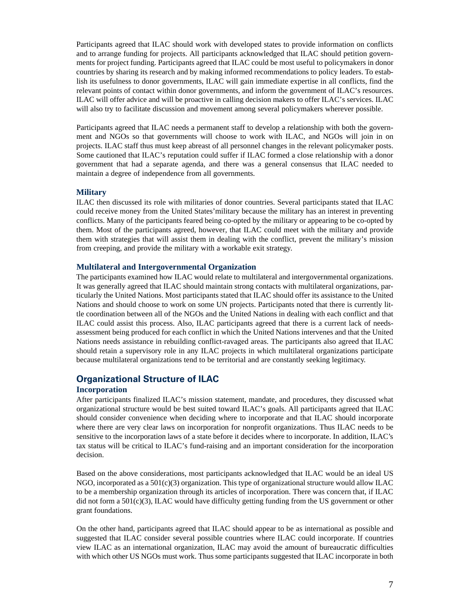Participants agreed that ILAC should work with developed states to provide information on conflicts and to arrange funding for projects. All participants acknowledged that ILAC should petition governments for project funding. Participants agreed that ILAC could be most useful to policymakers in donor countries by sharing its research and by making informed recommendations to policy leaders. To establish its usefulness to donor governments, ILAC will gain immediate expertise in all conflicts, find the relevant points of contact within donor governments, and inform the government of ILAC's resources. ILAC will offer advice and will be proactive in calling decision makers to offer ILAC's services. ILAC will also try to facilitate discussion and movement among several policymakers wherever possible.

Participants agreed that ILAC needs a permanent staff to develop a relationship with both the government and NGOs so that governments will choose to work with ILAC, and NGOs will join in on projects. ILAC staff thus must keep abreast of all personnel changes in the relevant policymaker posts. Some cautioned that ILAC's reputation could suffer if ILAC formed a close relationship with a donor government that had a separate agenda, and there was a general consensus that ILAC needed to maintain a degree of independence from all governments.

#### **Military**

ILAC then discussed its role with militaries of donor countries. Several participants stated that ILAC could receive money from the United States'military because the military has an interest in preventing conflicts. Many of the participants feared being co-opted by the military or appearing to be co-opted by them. Most of the participants agreed, however, that ILAC could meet with the military and provide them with strategies that will assist them in dealing with the conflict, prevent the military's mission from creeping, and provide the military with a workable exit strategy.

#### **Multilateral and Intergovernmental Organization**

The participants examined how ILAC would relate to multilateral and intergovernmental organizations. It was generally agreed that ILAC should maintain strong contacts with multilateral organizations, particularly the United Nations. Most participants stated that ILAC should offer its assistance to the United Nations and should choose to work on some UN projects. Participants noted that there is currently little coordination between all of the NGOs and the United Nations in dealing with each conflict and that ILAC could assist this process. Also, ILAC participants agreed that there is a current lack of needsassessment being produced for each conflict in which the United Nations intervenes and that the United Nations needs assistance in rebuilding conflict-ravaged areas. The participants also agreed that ILAC should retain a supervisory role in any ILAC projects in which multilateral organizations participate because multilateral organizations tend to be territorial and are constantly seeking legitimacy.

#### **Organizational Structure of ILAC**

#### **Incorporation**

After participants finalized ILAC's mission statement, mandate, and procedures, they discussed what organizational structure would be best suited toward ILAC's goals. All participants agreed that ILAC should consider convenience when deciding where to incorporate and that ILAC should incorporate where there are very clear laws on incorporation for nonprofit organizations. Thus ILAC needs to be sensitive to the incorporation laws of a state before it decides where to incorporate. In addition, ILAC's tax status will be critical to ILAC's fund-raising and an important consideration for the incorporation decision.

Based on the above considerations, most participants acknowledged that ILAC would be an ideal US NGO, incorporated as a  $501(c)(3)$  organization. This type of organizational structure would allow ILAC to be a membership organization through its articles of incorporation. There was concern that, if ILAC did not form a  $501(c)(3)$ , ILAC would have difficulty getting funding from the US government or other grant foundations.

On the other hand, participants agreed that ILAC should appear to be as international as possible and suggested that ILAC consider several possible countries where ILAC could incorporate. If countries view ILAC as an international organization, ILAC may avoid the amount of bureaucratic difficulties with which other US NGOs must work. Thus some participants suggested that ILAC incorporate in both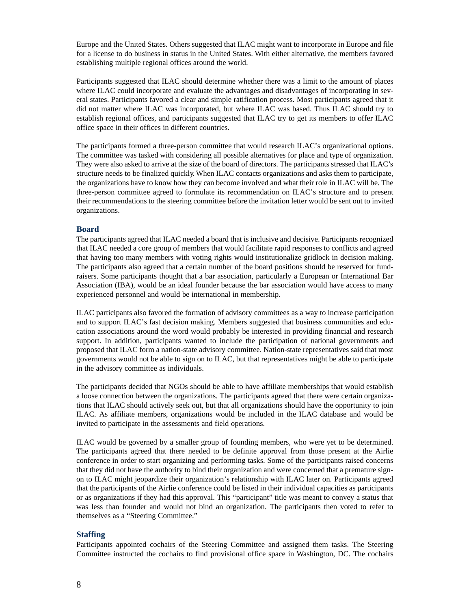Europe and the United States. Others suggested that ILAC might want to incorporate in Europe and file for a license to do business in status in the United States. With either alternative, the members favored establishing multiple regional offices around the world.

Participants suggested that ILAC should determine whether there was a limit to the amount of places where ILAC could incorporate and evaluate the advantages and disadvantages of incorporating in several states. Participants favored a clear and simple ratification process. Most participants agreed that it did not matter where ILAC was incorporated, but where ILAC was based. Thus ILAC should try to establish regional offices, and participants suggested that ILAC try to get its members to offer ILAC office space in their offices in different countries.

The participants formed a three-person committee that would research ILAC's organizational options. The committee was tasked with considering all possible alternatives for place and type of organization. They were also asked to arrive at the size of the board of directors. The participants stressed that ILAC's structure needs to be finalized quickly. When ILAC contacts organizations and asks them to participate, the organizations have to know how they can become involved and what their role in ILAC will be. The three-person committee agreed to formulate its recommendation on ILAC's structure and to present their recommendations to the steering committee before the invitation letter would be sent out to invited organizations.

#### **Board**

The participants agreed that ILAC needed a board that is inclusive and decisive. Participants recognized that ILAC needed a core group of members that would facilitate rapid responses to conflicts and agreed that having too many members with voting rights would institutionalize gridlock in decision making. The participants also agreed that a certain number of the board positions should be reserved for fundraisers. Some participants thought that a bar association, particularly a European or International Bar Association (IBA), would be an ideal founder because the bar association would have access to many experienced personnel and would be international in membership.

ILAC participants also favored the formation of advisory committees as a way to increase participation and to support ILAC's fast decision making. Members suggested that business communities and education associations around the word would probably be interested in providing financial and research support. In addition, participants wanted to include the participation of national governments and proposed that ILAC form a nation-state advisory committee. Nation-state representatives said that most governments would not be able to sign on to ILAC, but that representatives might be able to participate in the advisory committee as individuals.

The participants decided that NGOs should be able to have affiliate memberships that would establish a loose connection between the organizations. The participants agreed that there were certain organizations that ILAC should actively seek out, but that all organizations should have the opportunity to join ILAC. As affiliate members, organizations would be included in the ILAC database and would be invited to participate in the assessments and field operations.

ILAC would be governed by a smaller group of founding members, who were yet to be determined. The participants agreed that there needed to be definite approval from those present at the Airlie conference in order to start organizing and performing tasks. Some of the participants raised concerns that they did not have the authority to bind their organization and were concerned that a premature signon to ILAC might jeopardize their organization's relationship with ILAC later on. Participants agreed that the participants of the Airlie conference could be listed in their individual capacities as participants or as organizations if they had this approval. This "participant" title was meant to convey a status that was less than founder and would not bind an organization. The participants then voted to refer to themselves as a "Steering Committee."

#### **Staffing**

Participants appointed cochairs of the Steering Committee and assigned them tasks. The Steering Committee instructed the cochairs to find provisional office space in Washington, DC. The cochairs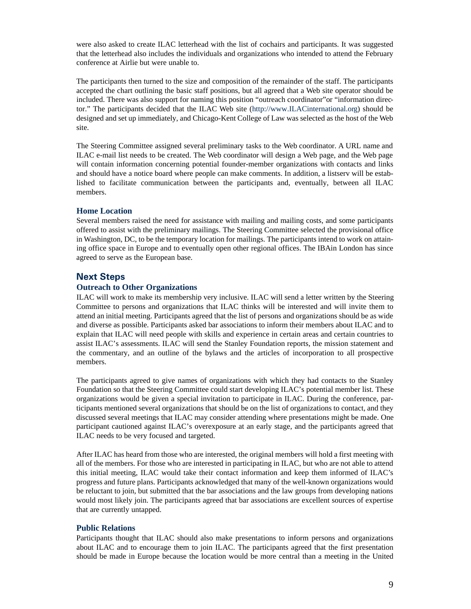were also asked to create ILAC letterhead with the list of cochairs and participants. It was suggested that the letterhead also includes the individuals and organizations who intended to attend the February conference at Airlie but were unable to.

The participants then turned to the size and composition of the remainder of the staff. The participants accepted the chart outlining the basic staff positions, but all agreed that a Web site operator should be included. There was also support for naming this position "outreach coordinator"or "information director." The participants decided that the ILAC Web site (http://www.ILACinternational.org) should be designed and set up immediately, and Chicago-Kent College of Law was selected as the host of the Web site.

The Steering Committee assigned several preliminary tasks to the Web coordinator. A URL name and ILAC e-mail list needs to be created. The Web coordinator will design a Web page, and the Web page will contain information concerning potential founder-member organizations with contacts and links and should have a notice board where people can make comments. In addition, a listserv will be established to facilitate communication between the participants and, eventually, between all ILAC members.

#### **Home Location**

Several members raised the need for assistance with mailing and mailing costs, and some participants offered to assist with the preliminary mailings. The Steering Committee selected the provisional office in Washington, DC, to be the temporary location for mailings. The participants intend to work on attaining office space in Europe and to eventually open other regional offices. The IBAin London has since agreed to serve as the European base.

#### **Next Steps**

#### **Outreach to Other Organizations**

ILAC will work to make its membership very inclusive. ILAC will send a letter written by the Steering Committee to persons and organizations that ILAC thinks will be interested and will invite them to attend an initial meeting. Participants agreed that the list of persons and organizations should be as wide and diverse as possible. Participants asked bar associations to inform their members about ILAC and to explain that ILAC will need people with skills and experience in certain areas and certain countries to assist ILAC's assessments. ILAC will send the Stanley Foundation reports, the mission statement and the commentary, and an outline of the bylaws and the articles of incorporation to all prospective members.

The participants agreed to give names of organizations with which they had contacts to the Stanley Foundation so that the Steering Committee could start developing ILAC's potential member list. These organizations would be given a special invitation to participate in ILAC. During the conference, participants mentioned several organizations that should be on the list of organizations to contact, and they discussed several meetings that ILAC may consider attending where presentations might be made. One participant cautioned against ILAC's overexposure at an early stage, and the participants agreed that ILAC needs to be very focused and targeted.

After ILAC has heard from those who are interested, the original members will hold a first meeting with all of the members. For those who are interested in participating in ILAC, but who are not able to attend this initial meeting, ILAC would take their contact information and keep them informed of ILAC's progress and future plans. Participants acknowledged that many of the well-known organizations would be reluctant to join, but submitted that the bar associations and the law groups from developing nations would most likely join. The participants agreed that bar associations are excellent sources of expertise that are currently untapped.

#### **Public Relations**

Participants thought that ILAC should also make presentations to inform persons and organizations about ILAC and to encourage them to join ILAC. The participants agreed that the first presentation should be made in Europe because the location would be more central than a meeting in the United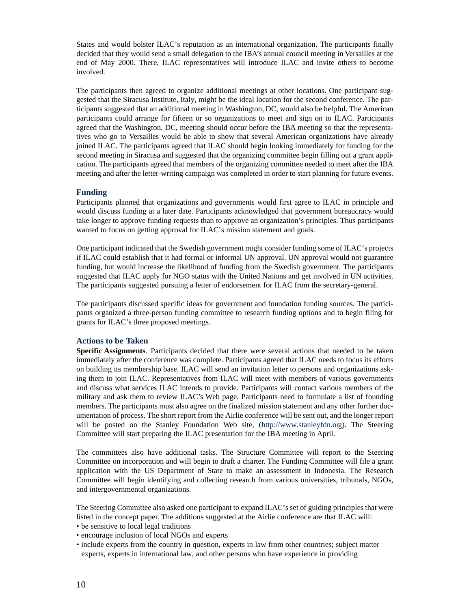States and would bolster ILAC's reputation as an international organization. The participants finally decided that they would send a small delegation to the IBA's annual council meeting in Versailles at the end of May 2000. There, ILAC representatives will introduce ILAC and invite others to become involved.

The participants then agreed to organize additional meetings at other locations. One participant suggested that the Siracusa Institute, Italy, might be the ideal location for the second conference. The participants suggested that an additional meeting in Washington, DC, would also be helpful. The American participants could arrange for fifteen or so organizations to meet and sign on to ILAC. Participants agreed that the Washington, DC, meeting should occur before the IBA meeting so that the representatives who go to Versailles would be able to show that several American organizations have already joined ILAC. The participants agreed that ILAC should begin looking immediately for funding for the second meeting in Siracusa and suggested that the organizing committee begin filling out a grant application. The participants agreed that members of the organizing committee needed to meet after the IBA meeting and after the letter-writing campaign was completed in order to start planning for future events.

#### **Funding**

Participants planned that organizations and governments would first agree to ILAC in principle and would discuss funding at a later date. Participants acknowledged that government bureaucracy would take longer to approve funding requests than to approve an organization's principles. Thus participants wanted to focus on getting approval for ILAC's mission statement and goals.

One participant indicated that the Swedish government might consider funding some of ILAC's projects if ILAC could establish that it had formal or informal UN approval. UN approval would not guarantee funding, but would increase the likelihood of funding from the Swedish government. The participants suggested that ILAC apply for NGO status with the United Nations and get involved in UN activities. The participants suggested pursuing a letter of endorsement for ILAC from the secretary-general.

The participants discussed specific ideas for government and foundation funding sources. The participants organized a three-person funding committee to research funding options and to begin filing for grants for ILAC's three proposed meetings.

#### **Actions to be Taken**

**Specific Assignments**. Participants decided that there were several actions that needed to be taken immediately after the conference was complete. Participants agreed that ILAC needs to focus its efforts on building its membership base. ILAC will send an invitation letter to persons and organizations asking them to join ILAC. Representatives from ILAC will meet with members of various governments and discuss what services ILAC intends to provide. Participants will contact various members of the military and ask them to review ILAC's Web page. Participants need to formulate a list of founding members. The participants must also agree on the finalized mission statement and any other further documentation of process. The short report from the Airlie conference will be sent out, and the longer report will be posted on the Stanley Foundation Web site, (http://www.stanleyfdn.org). The Steering Committee will start preparing the ILAC presentation for the IBA meeting in April.

The committees also have additional tasks. The Structure Committee will report to the Steering Committee on incorporation and will begin to draft a charter. The Funding Committee will file a grant application with the US Department of State to make an assessment in Indonesia. The Research Committee will begin identifying and collecting research from various universities, tribunals, NGOs, and intergovernmental organizations.

The Steering Committee also asked one participant to expand ILAC's set of guiding principles that were listed in the concept paper. The additions suggested at the Airlie conference are that ILAC will:

- be sensitive to local legal traditions
- encourage inclusion of local NGOs and experts
- include experts from the country in question, experts in law from other countries; subject matter experts, experts in international law, and other persons who have experience in providing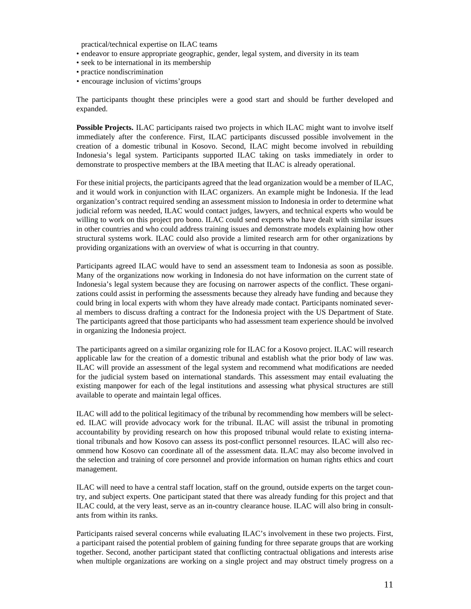practical/technical expertise on ILAC teams

- endeavor to ensure appropriate geographic, gender, legal system, and diversity in its team
- seek to be international in its membership
- practice nondiscrimination
- encourage inclusion of victims'groups

The participants thought these principles were a good start and should be further developed and expanded.

**Possible Projects.** ILAC participants raised two projects in which ILAC might want to involve itself immediately after the conference. First, ILAC participants discussed possible involvement in the creation of a domestic tribunal in Kosovo. Second, ILAC might become involved in rebuilding Indonesia's legal system. Participants supported ILAC taking on tasks immediately in order to demonstrate to prospective members at the IBA meeting that ILAC is already operational.

For these initial projects, the participants agreed that the lead organization would be a member of ILAC, and it would work in conjunction with ILAC organizers. An example might be Indonesia. If the lead organization's contract required sending an assessment mission to Indonesia in order to determine what judicial reform was needed, ILAC would contact judges, lawyers, and technical experts who would be willing to work on this project pro bono. ILAC could send experts who have dealt with similar issues in other countries and who could address training issues and demonstrate models explaining how other structural systems work. ILAC could also provide a limited research arm for other organizations by providing organizations with an overview of what is occurring in that country.

Participants agreed ILAC would have to send an assessment team to Indonesia as soon as possible. Many of the organizations now working in Indonesia do not have information on the current state of Indonesia's legal system because they are focusing on narrower aspects of the conflict. These organizations could assist in performing the assessments because they already have funding and because they could bring in local experts with whom they have already made contact. Participants nominated several members to discuss drafting a contract for the Indonesia project with the US Department of State. The participants agreed that those participants who had assessment team experience should be involved in organizing the Indonesia project.

The participants agreed on a similar organizing role for ILAC for a Kosovo project. ILAC will research applicable law for the creation of a domestic tribunal and establish what the prior body of law was. ILAC will provide an assessment of the legal system and recommend what modifications are needed for the judicial system based on international standards. This assessment may entail evaluating the existing manpower for each of the legal institutions and assessing what physical structures are still available to operate and maintain legal offices.

ILAC will add to the political legitimacy of the tribunal by recommending how members will be selected. ILAC will provide advocacy work for the tribunal. ILAC will assist the tribunal in promoting accountability by providing research on how this proposed tribunal would relate to existing international tribunals and how Kosovo can assess its post-conflict personnel resources. ILAC will also recommend how Kosovo can coordinate all of the assessment data. ILAC may also become involved in the selection and training of core personnel and provide information on human rights ethics and court management.

ILAC will need to have a central staff location, staff on the ground, outside experts on the target country, and subject experts. One participant stated that there was already funding for this project and that ILAC could, at the very least, serve as an in-country clearance house. ILAC will also bring in consultants from within its ranks.

Participants raised several concerns while evaluating ILAC's involvement in these two projects. First, a participant raised the potential problem of gaining funding for three separate groups that are working together. Second, another participant stated that conflicting contractual obligations and interests arise when multiple organizations are working on a single project and may obstruct timely progress on a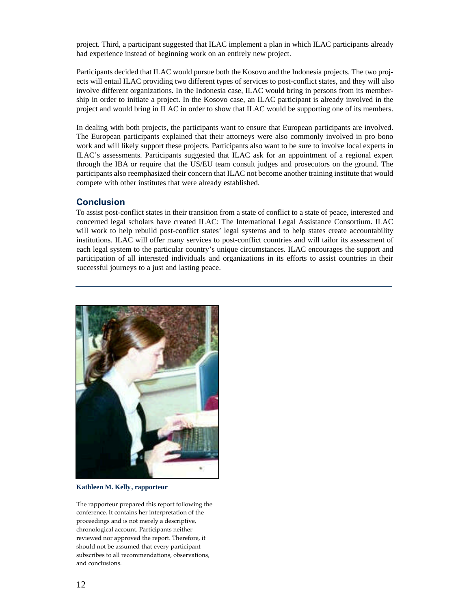project. Third, a participant suggested that ILAC implement a plan in which ILAC participants already had experience instead of beginning work on an entirely new project.

Participants decided that ILAC would pursue both the Kosovo and the Indonesia projects. The two projects will entail ILAC providing two different types of services to post-conflict states, and they will also involve different organizations. In the Indonesia case, ILAC would bring in persons from its membership in order to initiate a project. In the Kosovo case, an ILAC participant is already involved in the project and would bring in ILAC in order to show that ILAC would be supporting one of its members.

In dealing with both projects, the participants want to ensure that European participants are involved. The European participants explained that their attorneys were also commonly involved in pro bono work and will likely support these projects. Participants also want to be sure to involve local experts in ILAC's assessments. Participants suggested that ILAC ask for an appointment of a regional expert through the IBA or require that the US/EU team consult judges and prosecutors on the ground. The participants also reemphasized their concern that ILAC not become another training institute that would compete with other institutes that were already established.

#### **Conclusion**

To assist post-conflict states in their transition from a state of conflict to a state of peace, interested and concerned legal scholars have created ILAC: The International Legal Assistance Consortium. ILAC will work to help rebuild post-conflict states' legal systems and to help states create accountability institutions. ILAC will offer many services to post-conflict countries and will tailor its assessment of each legal system to the particular country's unique circumstances. ILAC encourages the support and participation of all interested individuals and organizations in its efforts to assist countries in their successful journeys to a just and lasting peace.



**Kathleen M. Kelly, rapporteur**

The rapporteur prepared this report following the conference. It contains her interpretation of the proceedings and is not merely a descriptive, chronological account. Participants neither reviewed nor approved the report. Therefore, it should not be assumed that every participant subscribes to all recommendations, observations, and conclusions.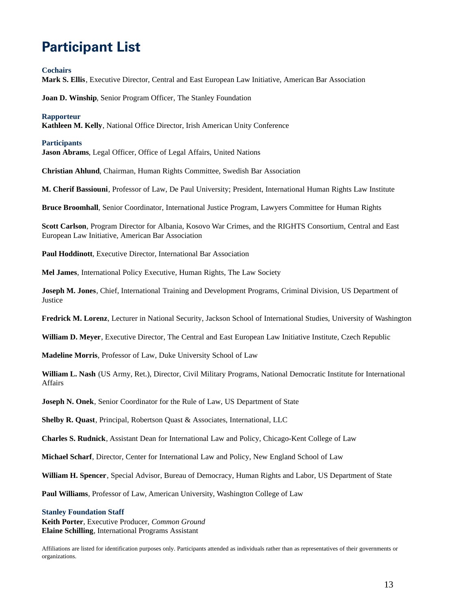# **Participant List**

#### **Cochairs**

**Mark S. Ellis**, Executive Director, Central and East European Law Initiative, American Bar Association

**Joan D. Winship**, Senior Program Officer, The Stanley Foundation

#### **Rapporteur**

**Kathleen M. Kelly**, National Office Director, Irish American Unity Conference

#### **Participants**

**Jason Abrams**, Legal Officer, Office of Legal Affairs, United Nations

**Christian Ahlund**, Chairman, Human Rights Committee, Swedish Bar Association

**M. Cherif Bassiouni**, Professor of Law, De Paul University; President, International Human Rights Law Institute

**Bruce Broomhall**, Senior Coordinator, International Justice Program, Lawyers Committee for Human Rights

**Scott Carlson**, Program Director for Albania, Kosovo War Crimes, and the RIGHTS Consortium, Central and East European Law Initiative, American Bar Association

**Paul Hoddinott**, Executive Director, International Bar Association

**Mel James**, International Policy Executive, Human Rights, The Law Society

**Joseph M. Jones**, Chief, International Training and Development Programs, Criminal Division, US Department of Justice

**Fredrick M. Lorenz**, Lecturer in National Security, Jackson School of International Studies, University of Washington

**William D. Meyer**, Executive Director, The Central and East European Law Initiative Institute, Czech Republic

**Madeline Morris**, Professor of Law, Duke University School of Law

**William L. Nash** (US Army, Ret.), Director, Civil Military Programs, National Democratic Institute for International Affairs

**Joseph N. Onek**, Senior Coordinator for the Rule of Law, US Department of State

**Shelby R. Quast**, Principal, Robertson Quast & Associates, International, LLC

**Charles S. Rudnick**, Assistant Dean for International Law and Policy, Chicago-Kent College of Law

**Michael Scharf**, Director, Center for International Law and Policy, New England School of Law

**William H. Spencer**, Special Advisor, Bureau of Democracy, Human Rights and Labor, US Department of State

**Paul Williams**, Professor of Law, American University, Washington College of Law

#### **Stanley Foundation Staff**

**Keith Porter**, Executive Producer, *Common Ground* **Elaine Schilling**, International Programs Assistant

Affiliations are listed for identification purposes only. Participants attended as individuals rather than as representatives of their governments or organizations.